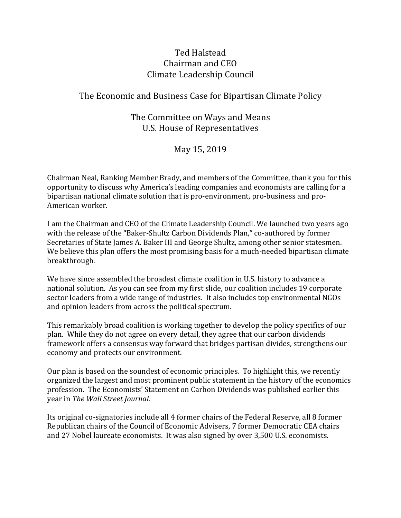### Ted Halstead Chairman and CEO Climate Leadership Council

#### The Economic and Business Case for Bipartisan Climate Policy

#### The Committee on Ways and Means U.S. House of Representatives

May 15, 2019

Chairman Neal, Ranking Member Brady, and members of the Committee, thank you for this opportunity to discuss why America's leading companies and economists are calling for a bipartisan national climate solution that is pro-environment, pro-business and pro-American worker.

I am the Chairman and CEO of the Climate Leadership Council. We launched two years ago with the release of the "Baker-Shultz Carbon Dividends Plan," co-authored by former Secretaries of State James A. Baker III and George Shultz, among other senior statesmen. We believe this plan offers the most promising basis for a much-needed bipartisan climate breakthrough.

We have since assembled the broadest climate coalition in U.S. history to advance a national solution. As you can see from my first slide, our coalition includes 19 corporate sector leaders from a wide range of industries. It also includes top environmental NGOs and opinion leaders from across the political spectrum.

This remarkably broad coalition is working together to develop the policy specifics of our plan. While they do not agree on every detail, they agree that our carbon dividends framework offers a consensus way forward that bridges partisan divides, strengthens our economy and protects our environment.

Our plan is based on the soundest of economic principles. To highlight this, we recently organized the largest and most prominent public statement in the history of the economics profession. The Economists' Statement on Carbon Dividends was published earlier this year in *The Wall Street Journal*.

Its original co-signatories include all 4 former chairs of the Federal Reserve, all 8 former Republican chairs of the Council of Economic Advisers, 7 former Democratic CEA chairs and 27 Nobel laureate economists. It was also signed by over 3,500 U.S. economists.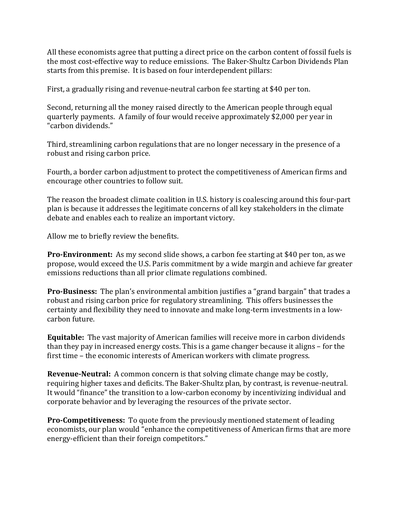All these economists agree that putting a direct price on the carbon content of fossil fuels is the most cost-effective way to reduce emissions. The Baker-Shultz Carbon Dividends Plan starts from this premise. It is based on four interdependent pillars:

First, a gradually rising and revenue-neutral carbon fee starting at \$40 per ton.

Second, returning all the money raised directly to the American people through equal quarterly payments. A family of four would receive approximately \$2,000 per year in "carbon dividends."

Third, streamlining carbon regulations that are no longer necessary in the presence of a robust and rising carbon price.

Fourth, a border carbon adjustment to protect the competitiveness of American firms and encourage other countries to follow suit.

The reason the broadest climate coalition in U.S. history is coalescing around this four-part plan is because it addresses the legitimate concerns of all key stakeholders in the climate debate and enables each to realize an important victory.

Allow me to briefly review the benefits.

**Pro-Environment:** As my second slide shows, a carbon fee starting at \$40 per ton, as we propose, would exceed the U.S. Paris commitment by a wide margin and achieve far greater emissions reductions than all prior climate regulations combined.

**Pro-Business:** The plan's environmental ambition justifies a "grand bargain" that trades a robust and rising carbon price for regulatory streamlining. This offers businesses the certainty and flexibility they need to innovate and make long-term investments in a lowcarbon future. 

**Equitable:** The vast majority of American families will receive more in carbon dividends than they pay in increased energy costs. This is a game changer because it aligns – for the first time - the economic interests of American workers with climate progress.

**Revenue-Neutral:** A common concern is that solving climate change may be costly, requiring higher taxes and deficits. The Baker-Shultz plan, by contrast, is revenue-neutral. It would "finance" the transition to a low-carbon economy by incentivizing individual and corporate behavior and by leveraging the resources of the private sector.

**Pro-Competitiveness:** To quote from the previously mentioned statement of leading economists, our plan would "enhance the competitiveness of American firms that are more energy-efficient than their foreign competitors."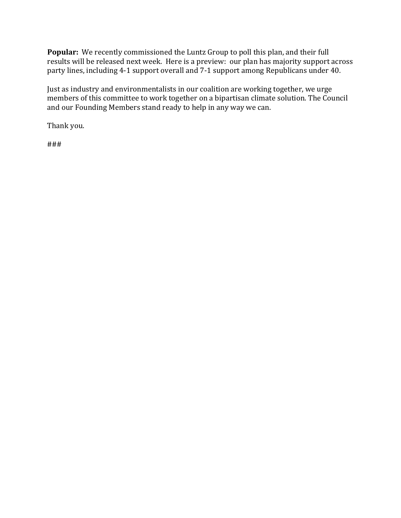**Popular:** We recently commissioned the Luntz Group to poll this plan, and their full results will be released next week. Here is a preview: our plan has majority support across party lines, including 4-1 support overall and 7-1 support among Republicans under 40.

Just as industry and environmentalists in our coalition are working together, we urge members of this committee to work together on a bipartisan climate solution. The Council and our Founding Members stand ready to help in any way we can.

Thank you.

###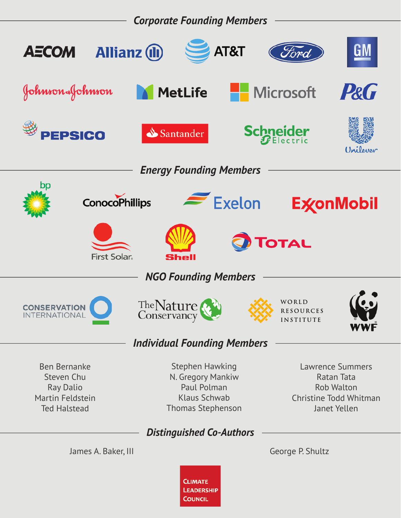